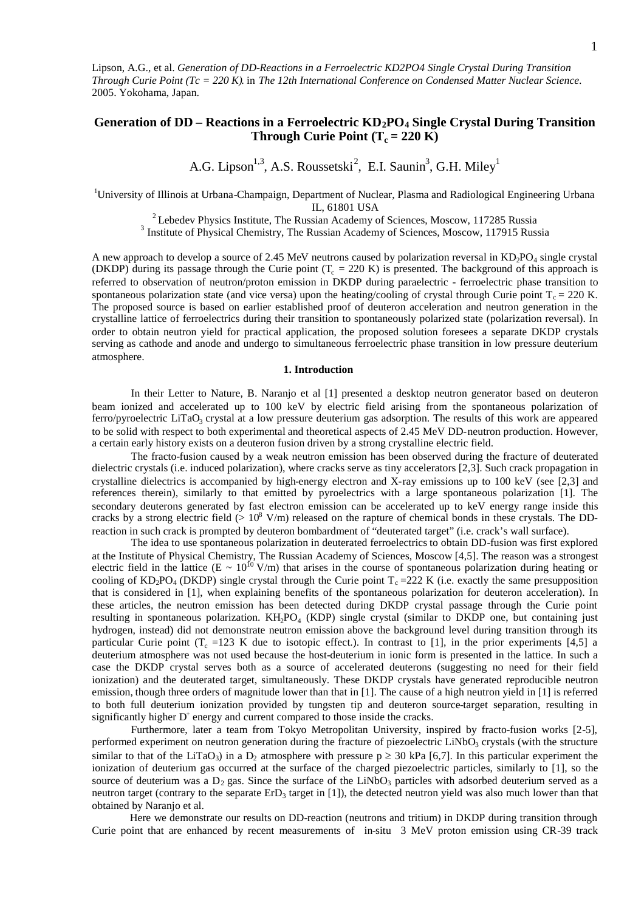Lipson, A.G., et al. *Generation of DD-Reactions in a Ferroelectric KD2PO4 Single Crystal During Transition Through Curie Point (Tc = 220 K)*. in *The 12th International Conference on Condensed Matter Nuclear Science*. 2005. Yokohama, Japan.

# **Generation of DD – Reactions in a Ferroelectric KD2PO<sup>4</sup> Single Crystal During Transition Through Curie Point**  $(T_c = 220 \text{ K})$

A.G. Lipson<sup>1,3</sup>, A.S. Roussetski<sup>2</sup>, E.I. Saunin<sup>3</sup>, G.H. Miley<sup>1</sup>

<sup>1</sup>University of Illinois at Urbana-Champaign, Department of Nuclear, Plasma and Radiological Engineering Urbana IL, 61801 USA

 $2^2$  Lebedev Physics Institute, The Russian Academy of Sciences, Moscow, 117285 Russia

<sup>3</sup> Institute of Physical Chemistry, The Russian Academy of Sciences, Moscow, 117915 Russia

A new approach to develop a source of 2.45 MeV neutrons caused by polarization reversal in  $KD_2PO_4$  single crystal (DKDP) during its passage through the Curie point  $(T_c = 220 \text{ K})$  is presented. The background of this approach is referred to observation of neutron/proton emission in DKDP during paraelectric - ferroelectric phase transition to spontaneous polarization state (and vice versa) upon the heating/cooling of crystal through Curie point  $T_c = 220$  K. The proposed source is based on earlier established proof of deuteron acceleration and neutron generation in the crystalline lattice of ferroelectrics during their transition to spontaneously polarized state (polarization reversal). In order to obtain neutron yield for practical application, the proposed solution foresees a separate DKDP crystals serving as cathode and anode and undergo to simultaneous ferroelectric phase transition in low pressure deuterium atmosphere.

# **1. Introduction**

In their Letter to Nature, B. Naranjo et al [1] presented a desktop neutron generator based on deuteron beam ionized and accelerated up to 100 keV by electric field arising from the spontaneous polarization of ferro/pyroelectric LiTaO<sub>3</sub> crystal at a low pressure deuterium gas adsorption. The results of this work are appeared to be solid with respect to both experimental and theoretical aspects of 2.45 MeV DD-neutron production. However, a certain early history exists on a deuteron fusion driven by a strong crystalline electric field.

The fracto-fusion caused by a weak neutron emission has been observed during the fracture of deuterated dielectric crystals (i.e. induced polarization), where cracks serve as tiny accelerators [2,3]. Such crack propagation in crystalline dielectrics is accompanied by high-energy electron and X-ray emissions up to 100 keV (see [2,3] and references therein), similarly to that emitted by pyroelectrics with a large spontaneous polarization [1]. The secondary deuterons generated by fast electron emission can be accelerated up to keV energy range inside this cracks by a strong electric field ( $> 10^8$  V/m) released on the rapture of chemical bonds in these crystals. The DDreaction in such crack is prompted by deuteron bombardment of "deuterated target" (i.e. crack's wall surface).

The idea to use spontaneous polarization in deuterated ferroelectrics to obtain DD-fusion was first explored at the Institute of Physical Chemistry, The Russian Academy of Sciences, Moscow [4,5]. The reason was a strongest electric field in the lattice (E ~  $10^{10}$  V/m) that arises in the course of spontaneous polarization during heating or cooling of  $KD_2PO_4$  (DKDP) single crystal through the Curie point  $T_c = 222$  K (i.e. exactly the same presupposition that is considered in [1], when explaining benefits of the spontaneous polarization for deuteron acceleration). In these articles, the neutron emission has been detected during DKDP crystal passage through the Curie point resulting in spontaneous polarization. KH<sub>2</sub>PO<sub>4</sub> (KDP) single crystal (similar to DKDP one, but containing just hydrogen, instead) did not demonstrate neutron emission above the background level during transition through its particular Curie point ( $T_c$  =123 K due to isotopic effect.). In contrast to [1], in the prior experiments [4,5] a deuterium atmosphere was not used because the host-deuterium in ionic form is presented in the lattice. In such a case the DKDP crystal serves both as a source of accelerated deuterons (suggesting no need for their field ionization) and the deuterated target, simultaneously. These DKDP crystals have generated reproducible neutron emission, though three orders of magnitude lower than that in [1]. The cause of a high neutron yield in [1] is referred to both full deuterium ionization provided by tungsten tip and deuteron source-target separation, resulting in significantly higher  $D^+$  energy and current compared to those inside the cracks.

Furthermore, later a team from Tokyo Metropolitan University, inspired by fracto-fusion works [2-5], performed experiment on neutron generation during the fracture of piezoelectric LiNbO<sub>3</sub> crystals (with the structure similar to that of the LiTaO3) in a D<sub>2</sub> atmosphere with pressure  $p \ge 30$  kPa [6,7]. In this particular experiment the ionization of deuterium gas occurred at the surface of the charged piezoelectric particles, similarly to [1], so the source of deuterium was a  $D_2$  gas. Since the surface of the LiNbO<sub>3</sub> particles with adsorbed deuterium served as a neutron target (contrary to the separate  $ErD_3$  target in [1]), the detected neutron yield was also much lower than that obtained by Naranjo et al.

Here we demonstrate our results on DD-reaction (neutrons and tritium) in DKDP during transition through Curie point that are enhanced by recent measurements of in-situ 3 MeV proton emission using CR-39 track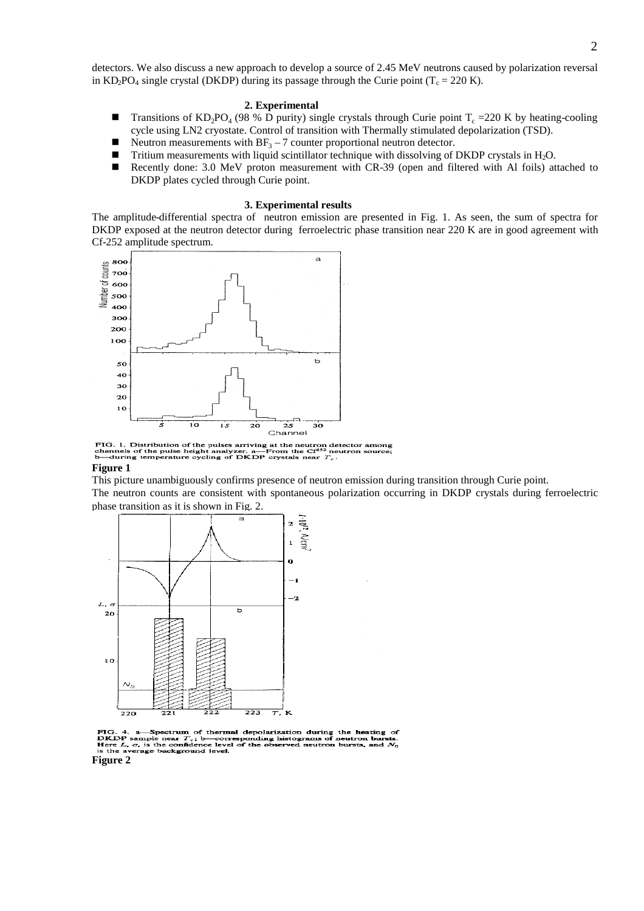detectors. We also discuss a new approach to develop a source of 2.45 MeV neutrons caused by polarization reversal in KD<sub>2</sub>PO<sub>4</sub> single crystal (DKDP) during its passage through the Curie point ( $T_c = 220$  K).

### **2. Experimental**

- **Transitions of KD**<sub>2</sub>PO<sub>4</sub> (98 % D purity) single crystals through Curie point  $T_c = 220$  K by heating-cooling cycle using LN2 cryostate. Control of transition with Thermally stimulated depolarization (TSD).
- Neutron measurements with  $BF_3 7$  counter proportional neutron detector.
- **Tritium measurements with liquid scintillator technique with dissolving of DKDP crystals in H<sub>2</sub>O.**
- Recently done: 3.0 MeV proton measurement with CR-39 (open and filtered with Al foils) attached to DKDP plates cycled through Curie point.

### **3. Experimental results**

The amplitude-differential spectra of neutron emission are presented in Fig. 1. As seen, the sum of spectra for DKDP exposed at the neutron detector during ferroelectric phase transition near 220 K are in good agreement with Cf-252 amplitude spectrum.



FIG. 1. Distribution of the pulses arriving at the neutron detector among channels of the pulse height analyzer. a—From the  $CF^{33}$  neutron source;<br>b—during temperature cycling of DKDP crystals near  $T_c$ .<br>**Figure 1** 

This picture unambiguously confirms presence of neutron emission during transition through Curie point.

The neutron counts are consistent with spontaneous polarization occurring in DKDP crystals during ferroelectric phase transition as it is shown in Fig. 2.



FIG. 4. a Spectrum of thermal depolarization during the heating of DKDP sample near  $T_c$ ; b—corresponding histograms of neutron bursts. Here  $L$ ,  $\sigma$ , is the confidence level of the observed neutron bursts, and  $N_0$  Fig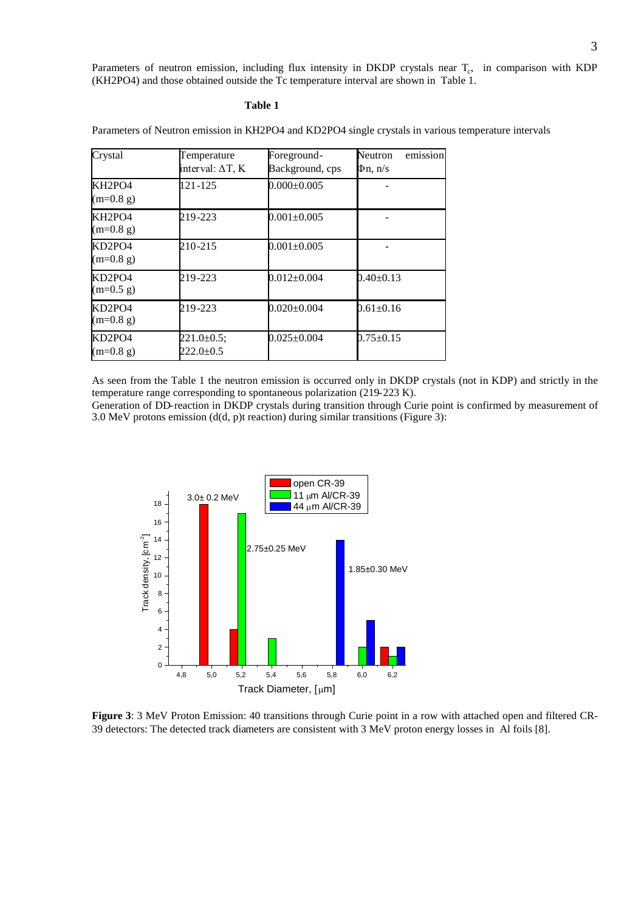Parameters of neutron emission, including flux intensity in DKDP crystals near  $T_c$ , in comparison with KDP (KH2PO4) and those obtained outside the Tc temperature interval are shown in Table 1.

# **Table 1**

| Crystal                                        | Temperature<br>interval: $\Delta T$ , K | Foreground-<br>Background, cps | emission<br>Neutron<br>$\Phi$ n, n/s |  |
|------------------------------------------------|-----------------------------------------|--------------------------------|--------------------------------------|--|
| KH <sub>2</sub> PO <sub>4</sub><br>$(m=0.8 g)$ | 121-125                                 | $0.000 \pm 0.005$              |                                      |  |
| KH <sub>2</sub> PO <sub>4</sub><br>$(m=0.8 g)$ | 219-223                                 | $0.001 + 0.005$                |                                      |  |
| KD2PO4<br>$(m=0.8 g)$                          | 210-215                                 | $0.001 \pm 0.005$              |                                      |  |
| KD2PO4<br>$(m=0.5 g)$                          | 219-223                                 | $0.012 \pm 0.004$              | $0.40 \pm 0.13$                      |  |
| KD2PO4<br>$(m=0.8 g)$                          | 219-223                                 | $0.020 \pm 0.004$              | $0.61 \pm 0.16$                      |  |
| KD2PO4<br>$(m=0.8 g)$                          | $221.0 \pm 0.5$ ;<br>$222.0 \pm 0.5$    | $0.025 \pm 0.004$              | $0.75 \pm 0.15$                      |  |

Parameters of Neutron emission in KH2PO4 and KD2PO4 single crystals in various temperature intervals

As seen from the Table 1 the neutron emission is occurred only in DKDP crystals (not in KDP) and strictly in the temperature range corresponding to spontaneous polarization (219-223 K).

Generation of DD-reaction in DKDP crystals during transition through Curie point is confirmed by measurement of 3.0 MeV protons emission (d(d, p)t reaction) during similar transitions (Figure 3):



**Figure 3**: 3 MeV Proton Emission: 40 transitions through Curie point in a row with attached open and filtered CR-39 detectors: The detected track diameters are consistent with 3 MeV proton energy losses in Al foils [8].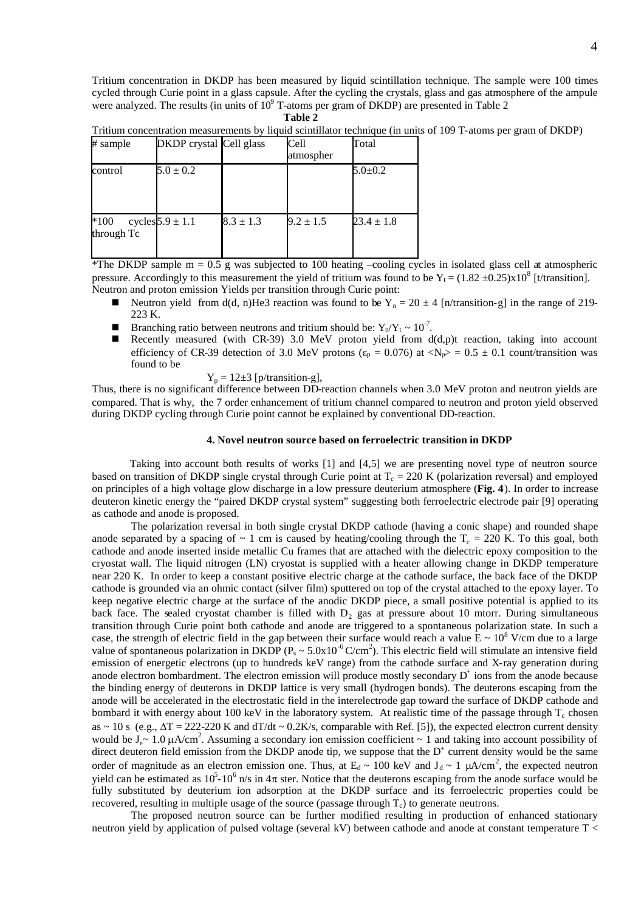Tritium concentration in DKDP has been measured by liquid scintillation technique. The sample were 100 times cycled through Curie point in a glass capsule. After the cycling the crystals, glass and gas atmosphere of the ampule were analyzed. The results (in units of  $10^9$  T-atoms per gram of DKDP) are presented in Table 2

**Table 2**

Tritium concentration measurements by liquid scintillator technique (in units of 109 T-atoms per gram of DKDP)

| # sample             | DKDP crystal Cell glass |               | Cell<br>atmospher | Total          |
|----------------------|-------------------------|---------------|-------------------|----------------|
| control              | $5.0 \pm 0.2$           |               |                   | $5.0 \pm 0.2$  |
| $*100$<br>through Tc | cycles $5.9 \pm 1.1$    | $8.3 \pm 1.3$ | $9.2 \pm 1.5$     | $23.4 \pm 1.8$ |

\*The DKDP sample m = 0.5 g was subjected to 100 heating –cooling cycles in isolated glass cell at atmospheric pressure. Accordingly to this measurement the yield of tritium was found to be  $Y_t = (1.82 \pm 0.25) \times 10^8$  [t/transition]. Neutron and proton emission Yields per transition through Curie point:

- Neutron yield from d(d, n)He3 reaction was found to be  $Y_n = 20 \pm 4$  [n/transition-g] in the range of 219-223 K.
- **Branching ratio between neutrons and tritium should be:**  $Y_n/Y_t \sim 10^{-7}$ .
- Recently measured (with CR-39) 3.0 MeV proton yield from  $d(d,p)$ t reaction, taking into account efficiency of CR-39 detection of 3.0 MeV protons ( $\varepsilon_p = 0.076$ ) at  $\langle N_p \rangle = 0.5 \pm 0.1$  count/transition was found to be

$$
Y_p = 12 \pm 3
$$
 [p/transition-g],

Thus, there is no significant difference between DD-reaction channels when 3.0 MeV proton and neutron yields are compared. That is why, the 7 order enhancement of tritium channel compared to neutron and proton yield observed during DKDP cycling through Curie point cannot be explained by conventional DD-reaction.

# **4. Novel neutron source based on ferroelectric transition in DKDP**

Taking into account both results of works [1] and [4,5] we are presenting novel type of neutron source based on transition of DKDP single crystal through Curie point at  $T_c = 220$  K (polarization reversal) and employed on principles of a high voltage glow discharge in a low pressure deuterium atmosphere (**Fig. 4**). In order to increase deuteron kinetic energy the "paired DKDP crystal system" suggesting both ferroelectric electrode pair [9] operating as cathode and anode is proposed.

The polarization reversal in both single crystal DKDP cathode (having a conic shape) and rounded shape anode separated by a spacing of  $\sim 1$  cm is caused by heating/cooling through the T<sub>c</sub> = 220 K. To this goal, both cathode and anode inserted inside metallic Cu frames that are attached with the dielectric epoxy composition to the cryostat wall. The liquid nitrogen (LN) cryostat is supplied with a heater allowing change in DKDP temperature near 220 K. In order to keep a constant positive electric charge at the cathode surface, the back face of the DKDP cathode is grounded via an ohmic contact (silver film) sputtered on top of the crystal attached to the epoxy layer. To keep negative electric charge at the surface of the anodic DKDP piece, a small positive potential is applied to its back face. The sealed cryostat chamber is filled with  $D<sub>2</sub>$  gas at pressure about 10 mtorr. During simultaneous transition through Curie point both cathode and anode are triggered to a spontaneous polarization state. In such a case, the strength of electric field in the gap between their surface would reach a value  $E \sim 10^8$  V/cm due to a large value of spontaneous polarization in DKDP ( $P_s \sim 5.0x10^{-6}$  C/cm<sup>2</sup>). This electric field will stimulate an intensive field emission of energetic electrons (up to hundreds keV range) from the cathode surface and X-ray generation during anode electron bombardment. The electron emission will produce mostly secondary  $D^+$  ions from the anode because the binding energy of deuterons in DKDP lattice is very small (hydrogen bonds). The deuterons escaping from the anode will be accelerated in the electrostatic field in the interelectrode gap toward the surface of DKDP cathode and bombard it with energy about 100 keV in the laboratory system. At realistic time of the passage through  $T_c$  chosen as ~ 10 s (e.g.,  $\Delta T = 222{\text -}220$  K and dT/dt ~ 0.2K/s, comparable with Ref. [5]), the expected electron current density would be  $J_e \sim 1.0 \mu A/cm^2$ . Assuming a secondary ion emission coefficient  $\sim 1$  and taking into account possibility of direct deuteron field emission from the DKDP anode tip, we suppose that the  $D^+$  current density would be the same order of magnitude as an electron emission one. Thus, at  $E_d \sim 100$  keV and  $J_d \sim 1$   $\mu A/cm^2$ , the expected neutron yield can be estimated as  $10^5$ - $10^6$  n/s in  $4\pi$  ster. Notice that the deuterons escaping from the anode surface would be fully substituted by deuterium ion adsorption at the DKDP surface and its ferroelectric properties could be recovered, resulting in multiple usage of the source (passage through  $T_c$ ) to generate neutrons.

The proposed neutron source can be further modified resulting in production of enhanced stationary neutron yield by application of pulsed voltage (several kV) between cathode and anode at constant temperature T <